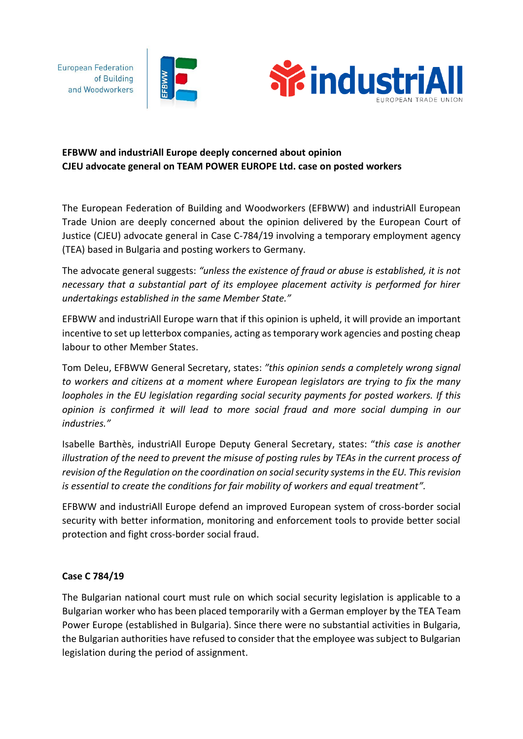**European Federation** of Building and Woodworkers





## **EFBWW and industriAll Europe deeply concerned about opinion CJEU advocate general on TEAM POWER EUROPE Ltd. case on posted workers**

The European Federation of Building and Woodworkers (EFBWW) and industriAll European Trade Union are deeply concerned about the opinion delivered by the European Court of Justice (CJEU) advocate general in Case C-784/19 involving a temporary employment agency (TEA) based in Bulgaria and posting workers to Germany.

The advocate general suggests: *"unless the existence of fraud or abuse is established, it is not necessary that a substantial part of its employee placement activity is performed for hirer undertakings established in the same Member State."*

EFBWW and industriAll Europe warn that if this opinion is upheld, it will provide an important incentive to set up letterbox companies, acting as temporary work agencies and posting cheap labour to other Member States.

Tom Deleu, EFBWW General Secretary, states: *"this opinion sends a completely wrong signal to workers and citizens at a moment where European legislators are trying to fix the many loopholes in the EU legislation regarding social security payments for posted workers. If this opinion is confirmed it will lead to more social fraud and more social dumping in our industries."*

Isabelle Barthès, industriAll Europe Deputy General Secretary, states: "*this case is another illustration of the need to prevent the misuse of posting rules by TEAs in the current process of revision of the Regulation on the coordination on social security systems in the EU. This revision is essential to create the conditions for fair mobility of workers and equal treatment".*

EFBWW and industriAll Europe defend an improved European system of cross-border social security with better information, monitoring and enforcement tools to provide better social protection and fight cross-border social fraud.

## **Case C 784/19**

The Bulgarian national court must rule on which social security legislation is applicable to a Bulgarian worker who has been placed temporarily with a German employer by the TEA Team Power Europe (established in Bulgaria). Since there were no substantial activities in Bulgaria, the Bulgarian authorities have refused to consider that the employee was subject to Bulgarian legislation during the period of assignment.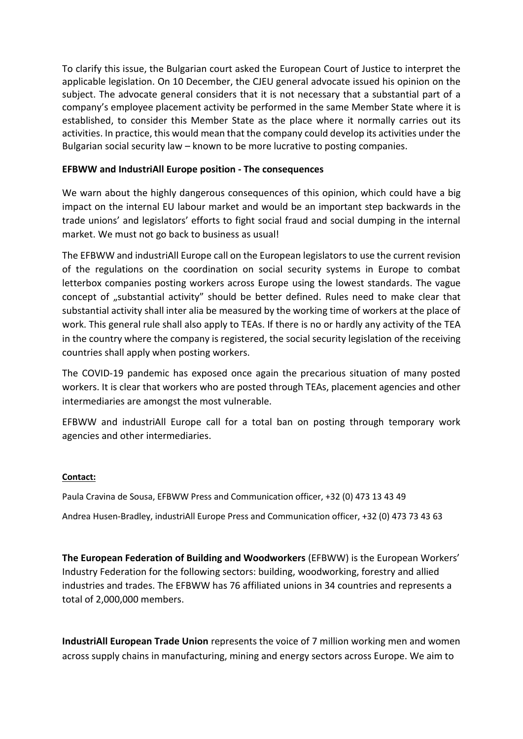To clarify this issue, the Bulgarian court asked the European Court of Justice to interpret the applicable legislation. On 10 December, the CJEU general advocate issued his opinion on the subject. The advocate general considers that it is not necessary that a substantial part of a company's employee placement activity be performed in the same Member State where it is established, to consider this Member State as the place where it normally carries out its activities. In practice, this would mean that the company could develop its activities under the Bulgarian social security law – known to be more lucrative to posting companies.

## **EFBWW and IndustriAll Europe position - The consequences**

We warn about the highly dangerous consequences of this opinion, which could have a big impact on the internal EU labour market and would be an important step backwards in the trade unions' and legislators' efforts to fight social fraud and social dumping in the internal market. We must not go back to business as usual!

The EFBWW and industriAll Europe call on the European legislators to use the current revision of the regulations on the coordination on social security systems in Europe to combat letterbox companies posting workers across Europe using the lowest standards. The vague concept of "substantial activity" should be better defined. Rules need to make clear that substantial activity shall inter alia be measured by the working time of workers at the place of work. This general rule shall also apply to TEAs. If there is no or hardly any activity of the TEA in the country where the company is registered, the social security legislation of the receiving countries shall apply when posting workers.

The COVID-19 pandemic has exposed once again the precarious situation of many posted workers. It is clear that workers who are posted through TEAs, placement agencies and other intermediaries are amongst the most vulnerable.

EFBWW and industriAll Europe call for a total ban on posting through temporary work agencies and other intermediaries.

## **Contact:**

Paula Cravina de Sousa, EFBWW Press and Communication officer, +32 (0) 473 13 43 49

Andrea Husen-Bradley, industriAll Europe Press and Communication officer, +32 (0) 473 73 43 63

**The European Federation of Building and Woodworkers** (EFBWW) is the European Workers' Industry Federation for the following sectors: building, woodworking, forestry and allied industries and trades. The EFBWW has 76 affiliated unions in 34 countries and represents a total of 2,000,000 members.

**IndustriAll European Trade Union** represents the voice of 7 million working men and women across supply chains in manufacturing, mining and energy sectors across Europe. We aim to